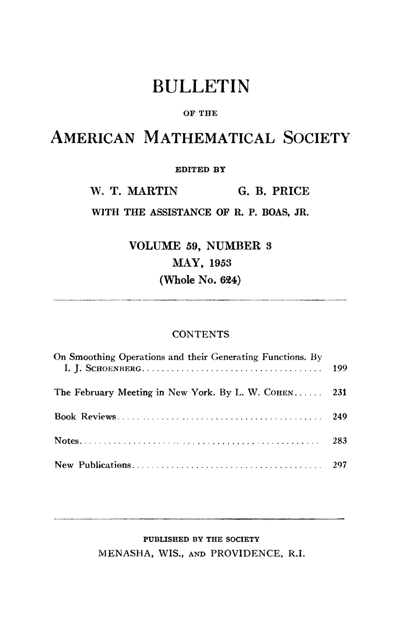# BULLETIN

#### **OF THE**

## AMERICAN MATHEMATICAL SOCIETY

#### **EDITED BY**

W. T. MARTIN G. B. PRICE

**WITH THE ASSISTANCE OF R. P. BOAS, JR.** 

VOLUME 59, NUMBER 3 MAY, 1953 (Whole No. 624)

#### **CONTENTS**

| On Smoothing Operations and their Generating Functions. By |     |
|------------------------------------------------------------|-----|
| The February Meeting in New York. By L. W. COHEN 231       |     |
|                                                            |     |
|                                                            | 283 |
|                                                            |     |

### **PUBLISHED BY THE SOCIETY**  MENASHA, WIS., AND PROVIDENCE, R.I.